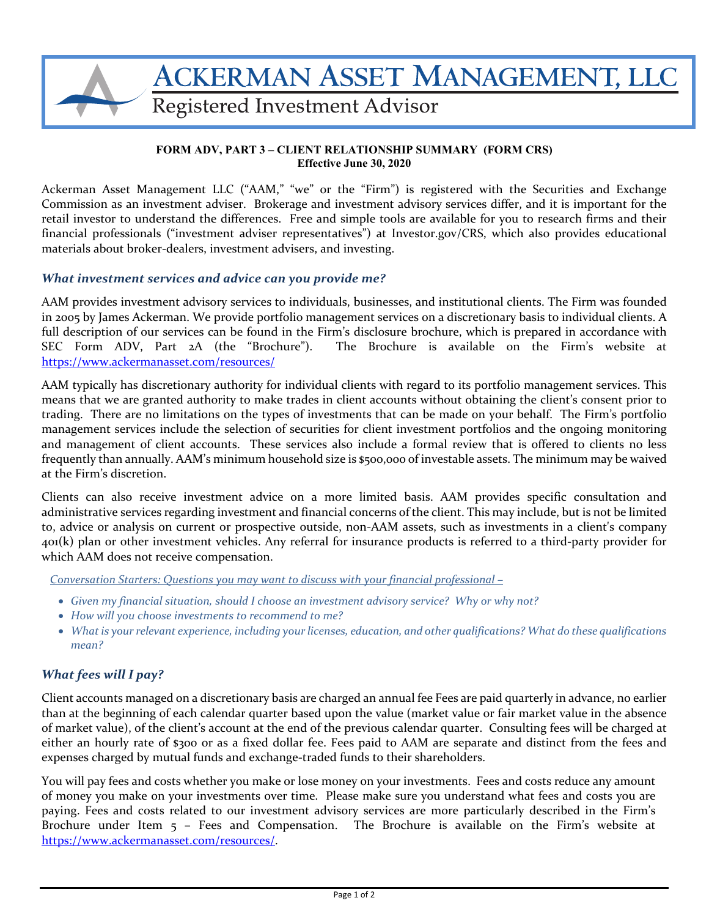

#### **FORM ADV, PART 3 – CLIENT RELATIONSHIP SUMMARY (FORM CRS) Effective June 30, 2020**

Ackerman Asset Management LLC ("AAM," "we" or the "Firm") is registered with the Securities and Exchange Commission as an investment adviser. Brokerage and investment advisory services differ, and it is important for the retail investor to understand the differences. Free and simple tools are available for you to research firms and their financial professionals ("investment adviser representatives") at Investor.gov/CRS, which also provides educational materials about broker‐dealers, investment advisers, and investing.

#### *What investment services and advice can you provide me?*

AAM provides investment advisory services to individuals, businesses, and institutional clients. The Firm was founded in 2005 by James Ackerman. We provide portfolio management services on a discretionary basis to individual clients. A full description of our services can be found in the Firm's disclosure brochure, which is prepared in accordance with SEC Form ADV, Part 2A (the "Brochure"). The Brochure is available on the Firm's website at https://www.ackermanasset.com/resources/

AAM typically has discretionary authority for individual clients with regard to its portfolio management services. This means that we are granted authority to make trades in client accounts without obtaining the client's consent prior to trading. There are no limitations on the types of investments that can be made on your behalf. The Firm's portfolio management services include the selection of securities for client investment portfolios and the ongoing monitoring and management of client accounts. These services also include a formal review that is offered to clients no less frequently than annually. AAM's minimum household size is \$500,000 of investable assets. The minimum may be waived at the Firm's discretion.

Clients can also receive investment advice on a more limited basis. AAM provides specific consultation and administrative services regarding investment and financial concerns of the client. This may include, but is not be limited to, advice or analysis on current or prospective outside, non‐AAM assets, such as investments in a client's company 401(k) plan or other investment vehicles. Any referral for insurance products is referred to a third‐party provider for which AAM does not receive compensation.

*Conversation Starters: Questions you may want to discuss with your financial professional –* 

- *Given my financial situation, should I choose an investment advisory service? Why or why not?*
- *How will you choose investments to recommend to me?*
- *Whatis yourrelevant experience, including yourlicenses, education, and other qualifications? What do these qualifications mean?*

# *What fees will I pay?*

Client accounts managed on a discretionary basis are charged an annual fee Fees are paid quarterly in advance, no earlier than at the beginning of each calendar quarter based upon the value (market value or fair market value in the absence of market value), of the client's account at the end of the previous calendar quarter. Consulting fees will be charged at either an hourly rate of \$300 or as a fixed dollar fee. Fees paid to AAM are separate and distinct from the fees and expenses charged by mutual funds and exchange‐traded funds to their shareholders.

You will pay fees and costs whether you make or lose money on your investments. Fees and costs reduce any amount of money you make on your investments over time. Please make sure you understand what fees and costs you are paying. Fees and costs related to our investment advisory services are more particularly described in the Firm's Brochure under Item 5 - Fees and Compensation. The Brochure is available on the Firm's website at https://www.ackermanasset.com/resources/.